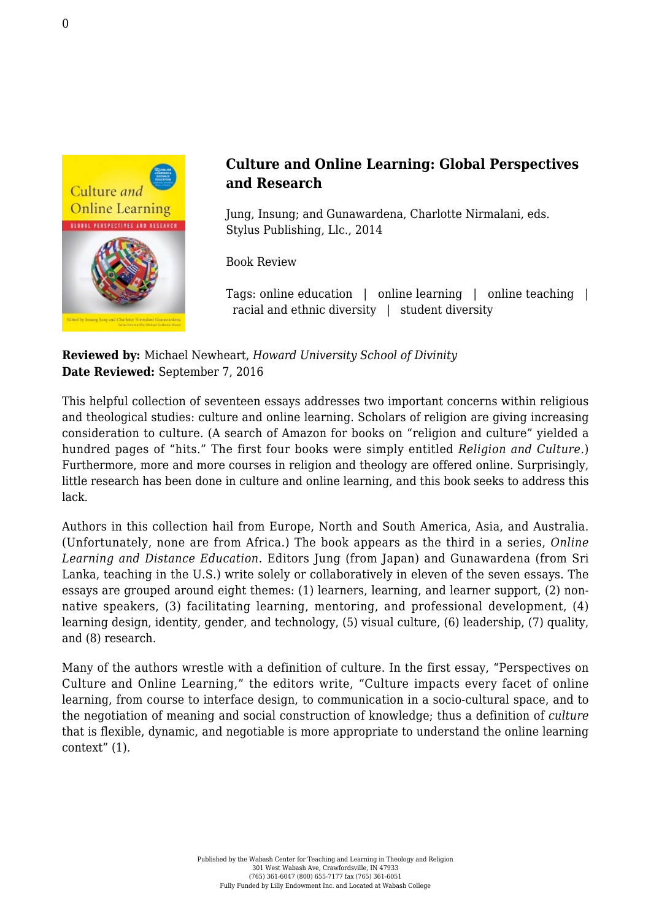

## **Culture and Online Learning: Global Perspectives and Research**

Jung, Insung; and Gunawardena, Charlotte Nirmalani, eds. [Stylus Publishing, Llc., 2014](https://sty.presswarehouse.com/Books/BookDetail.aspx?productID=308417)

Book Review

Tags: online education | online learning | online teaching | racial and ethnic diversity | student diversity

**Reviewed by:** Michael Newheart, *Howard University School of Divinity* **Date Reviewed:** September 7, 2016

This helpful collection of seventeen essays addresses two important concerns within religious and theological studies: culture and online learning. Scholars of religion are giving increasing consideration to culture. (A search of Amazon for books on "religion and culture" yielded a hundred pages of "hits." The first four books were simply entitled *Religion and Culture*.) Furthermore, more and more courses in religion and theology are offered online. Surprisingly, little research has been done in culture and online learning, and this book seeks to address this lack.

Authors in this collection hail from Europe, North and South America, Asia, and Australia. (Unfortunately, none are from Africa.) The book appears as the third in a series, *Online Learning and Distance Education*. Editors Jung (from Japan) and Gunawardena (from Sri Lanka, teaching in the U.S.) write solely or collaboratively in eleven of the seven essays. The essays are grouped around eight themes: (1) learners, learning, and learner support, (2) nonnative speakers, (3) facilitating learning, mentoring, and professional development, (4) learning design, identity, gender, and technology, (5) visual culture, (6) leadership, (7) quality, and (8) research.

Many of the authors wrestle with a definition of culture. In the first essay, "Perspectives on Culture and Online Learning," the editors write, "Culture impacts every facet of online learning, from course to interface design, to communication in a socio-cultural space, and to the negotiation of meaning and social construction of knowledge; thus a definition of *culture* that is flexible, dynamic, and negotiable is more appropriate to understand the online learning context" (1).